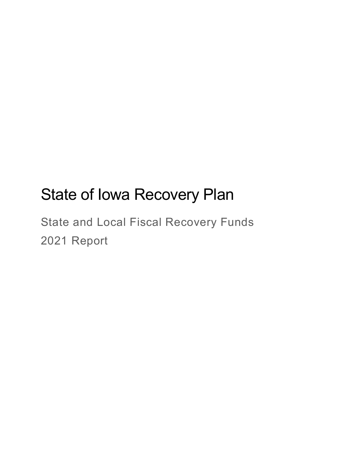# State of Iowa Recovery Plan

State and Local Fiscal Recovery Funds 2021 Report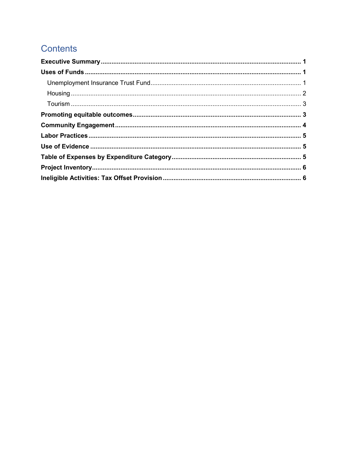# **Contents**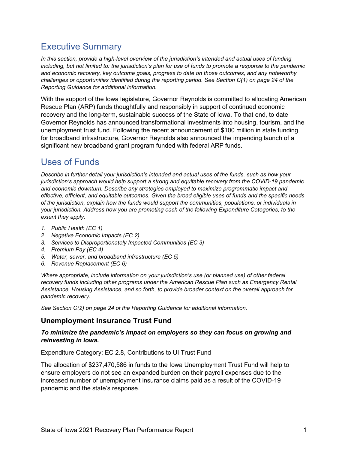# Executive Summary

In this section, provide a high-level overview of the jurisdiction's intended and actual uses of funding including, but not limited to: the jurisdiction's plan for use of funds to promote a response to the pandemic and economic recovery, key outcome goals, progress to date on those outcomes, and any noteworthy challenges or opportunities identified during the reporting period. See Section C(1) on page 24 of the Reporting Guidance for additional information.

With the support of the Iowa legislature, Governor Reynolds is committed to allocating American Rescue Plan (ARP) funds thoughtfully and responsibly in support of continued economic recovery and the long-term, sustainable success of the State of Iowa. To that end, to date Governor Reynolds has announced transformational investments into housing, tourism, and the unemployment trust fund. Following the recent announcement of \$100 million in state funding for broadband infrastructure, Governor Reynolds also announced the impending launch of a significant new broadband grant program funded with federal ARP funds.

# Uses of Funds

Describe in further detail your jurisdiction's intended and actual uses of the funds, such as how your jurisdiction's approach would help support a strong and equitable recovery from the COVID-19 pandemic and economic downturn. Describe any strategies employed to maximize programmatic impact and effective, efficient, and equitable outcomes. Given the broad eligible uses of funds and the specific needs of the jurisdiction, explain how the funds would support the communities, populations, or individuals in your jurisdiction. Address how you are promoting each of the following Expenditure Categories, to the extent they apply:

- 1. Public Health (EC 1)
- 2. Negative Economic Impacts (EC 2)
- 3. Services to Disproportionately Impacted Communities (EC 3)
- 4. Premium Pay (EC 4)
- 5. Water, sewer, and broadband infrastructure (EC 5)
- 6. Revenue Replacement (EC 6)

Where appropriate, include information on your jurisdiction's use (or planned use) of other federal recovery funds including other programs under the American Rescue Plan such as Emergency Rental Assistance, Housing Assistance, and so forth, to provide broader context on the overall approach for pandemic recovery.

See Section C(2) on page 24 of the Reporting Guidance for additional information.

#### Unemployment Insurance Trust Fund

#### To minimize the pandemic's impact on employers so they can focus on growing and reinvesting in Iowa.

Expenditure Category: EC 2.8, Contributions to UI Trust Fund

The allocation of \$237,470,586 in funds to the Iowa Unemployment Trust Fund will help to ensure employers do not see an expanded burden on their payroll expenses due to the increased number of unemployment insurance claims paid as a result of the COVID-19 pandemic and the state's response.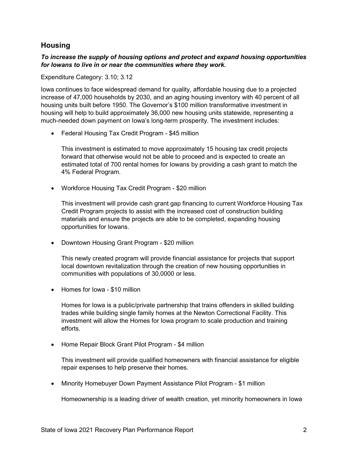#### **Housing**

#### To increase the supply of housing options and protect and expand housing opportunities for Iowans to live in or near the communities where they work.

Expenditure Category: 3.10; 3.12

Iowa continues to face widespread demand for quality, affordable housing due to a projected increase of 47,000 households by 2030, and an aging housing inventory with 40 percent of all housing units built before 1950. The Governor's \$100 million transformative investment in housing will help to build approximately 36,000 new housing units statewide, representing a much-needed down payment on Iowa's long-term prosperity. The investment includes:

• Federal Housing Tax Credit Program - \$45 million

This investment is estimated to move approximately 15 housing tax credit projects forward that otherwise would not be able to proceed and is expected to create an estimated total of 700 rental homes for Iowans by providing a cash grant to match the 4% Federal Program.

Workforce Housing Tax Credit Program - \$20 million

This investment will provide cash grant gap financing to current Workforce Housing Tax Credit Program projects to assist with the increased cost of construction building materials and ensure the projects are able to be completed, expanding housing opportunities for Iowans.

• Downtown Housing Grant Program - \$20 million

This newly created program will provide financial assistance for projects that support local downtown revitalization through the creation of new housing opportunities in communities with populations of 30,0000 or less.

• Homes for Iowa - \$10 million

Homes for Iowa is a public/private partnership that trains offenders in skilled building trades while building single family homes at the Newton Correctional Facility. This investment will allow the Homes for Iowa program to scale production and training efforts.

• Home Repair Block Grant Pilot Program - \$4 million

This investment will provide qualified homeowners with financial assistance for eligible repair expenses to help preserve their homes.

• Minority Homebuyer Down Payment Assistance Pilot Program - \$1 million

Homeownership is a leading driver of wealth creation, yet minority homeowners in Iowa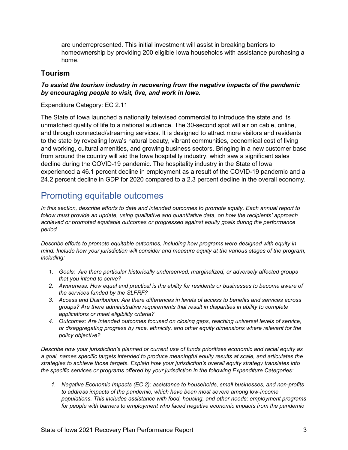are underrepresented. This initial investment will assist in breaking barriers to homeownership by providing 200 eligible Iowa households with assistance purchasing a home.

#### Tourism

#### To assist the tourism industry in recovering from the negative impacts of the pandemic by encouraging people to visit, live, and work in Iowa.

Expenditure Category: EC 2.11

The State of Iowa launched a nationally televised commercial to introduce the state and its unmatched quality of life to a national audience. The 30-second spot will air on cable, online, and through connected/streaming services. It is designed to attract more visitors and residents to the state by revealing Iowa's natural beauty, vibrant communities, economical cost of living and working, cultural amenities, and growing business sectors. Bringing in a new customer base from around the country will aid the Iowa hospitality industry, which saw a significant sales decline during the COVID-19 pandemic. The hospitality industry in the State of Iowa experienced a 46.1 percent decline in employment as a result of the COVID-19 pandemic and a 24.2 percent decline in GDP for 2020 compared to a 2.3 percent decline in the overall economy.

### Promoting equitable outcomes

In this section, describe efforts to date and intended outcomes to promote equity. Each annual report to follow must provide an update, using qualitative and quantitative data, on how the recipients' approach achieved or promoted equitable outcomes or progressed against equity goals during the performance period.

Describe efforts to promote equitable outcomes, including how programs were designed with equity in mind. Include how your jurisdiction will consider and measure equity at the various stages of the program, including:

- 1. Goals: Are there particular historically underserved, marginalized, or adversely affected groups that you intend to serve?
- 2. Awareness: How equal and practical is the ability for residents or businesses to become aware of the services funded by the SLFRF?
- 3. Access and Distribution: Are there differences in levels of access to benefits and services across groups? Are there administrative requirements that result in disparities in ability to complete applications or meet eligibility criteria?
- 4. Outcomes: Are intended outcomes focused on closing gaps, reaching universal levels of service, or disaggregating progress by race, ethnicity, and other equity dimensions where relevant for the policy objective?

Describe how your jurisdiction's planned or current use of funds prioritizes economic and racial equity as a goal, names specific targets intended to produce meaningful equity results at scale, and articulates the strategies to achieve those targets. Explain how your jurisdiction's overall equity strategy translates into the specific services or programs offered by your jurisdiction in the following Expenditure Categories:

1. Negative Economic Impacts (EC 2): assistance to households, small businesses, and non-profits to address impacts of the pandemic, which have been most severe among low-income populations. This includes assistance with food, housing, and other needs; employment programs for people with barriers to employment who faced negative economic impacts from the pandemic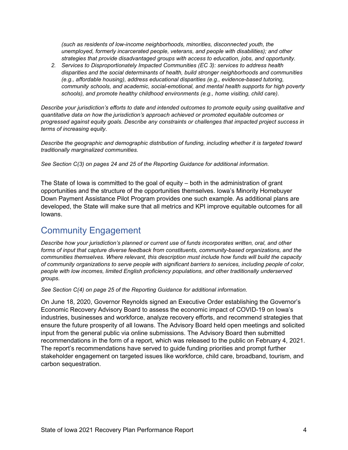(such as residents of low-income neighborhoods, minorities, disconnected youth, the unemployed, formerly incarcerated people, veterans, and people with disabilities); and other strategies that provide disadvantaged groups with access to education, jobs, and opportunity.

2. Services to Disproportionately Impacted Communities (EC 3): services to address health disparities and the social determinants of health, build stronger neighborhoods and communities (e.g., affordable housing), address educational disparities (e.g., evidence-based tutoring, community schools, and academic, social-emotional, and mental health supports for high poverty schools), and promote healthy childhood environments (e.g., home visiting, child care).

Describe your jurisdiction's efforts to date and intended outcomes to promote equity using qualitative and quantitative data on how the jurisdiction's approach achieved or promoted equitable outcomes or progressed against equity goals. Describe any constraints or challenges that impacted project success in terms of increasing equity.

Describe the geographic and demographic distribution of funding, including whether it is targeted toward traditionally marginalized communities.

See Section C(3) on pages 24 and 25 of the Reporting Guidance for additional information.

The State of Iowa is committed to the goal of equity – both in the administration of grant opportunities and the structure of the opportunities themselves. Iowa's Minority Homebuyer Down Payment Assistance Pilot Program provides one such example. As additional plans are developed, the State will make sure that all metrics and KPI improve equitable outcomes for all Iowans.

# Community Engagement

Describe how your jurisdiction's planned or current use of funds incorporates written, oral, and other forms of input that capture diverse feedback from constituents, community-based organizations, and the communities themselves. Where relevant, this description must include how funds will build the capacity of community organizations to serve people with significant barriers to services, including people of color, people with low incomes, limited English proficiency populations, and other traditionally underserved groups.

See Section C(4) on page 25 of the Reporting Guidance for additional information.

On June 18, 2020, Governor Reynolds signed an Executive Order establishing the Governor's Economic Recovery Advisory Board to assess the economic impact of COVID-19 on Iowa's industries, businesses and workforce, analyze recovery efforts, and recommend strategies that ensure the future prosperity of all Iowans. The Advisory Board held open meetings and solicited input from the general public via online submissions. The Advisory Board then submitted recommendations in the form of a report, which was released to the public on February 4, 2021. The report's recommendations have served to guide funding priorities and prompt further stakeholder engagement on targeted issues like workforce, child care, broadband, tourism, and carbon sequestration.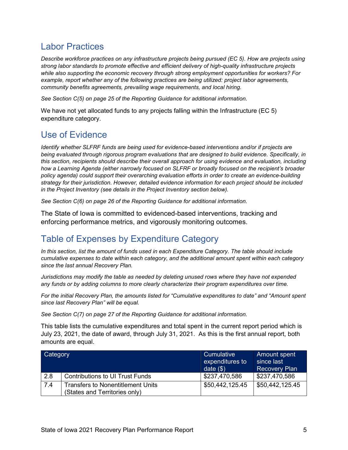# Labor Practices

Describe workforce practices on any infrastructure projects being pursued (EC 5). How are projects using strong labor standards to promote effective and efficient delivery of high-quality infrastructure projects while also supporting the economic recovery through strong employment opportunities for workers? For example, report whether any of the following practices are being utilized: project labor agreements, community benefits agreements, prevailing wage requirements, and local hiring.

See Section C(5) on page 25 of the Reporting Guidance for additional information.

We have not yet allocated funds to any projects falling within the Infrastructure (EC 5) expenditure category.

## Use of Evidence

Identify whether SLFRF funds are being used for evidence-based interventions and/or if projects are being evaluated through rigorous program evaluations that are designed to build evidence. Specifically, in this section, recipients should describe their overall approach for using evidence and evaluation, including how a Learning Agenda (either narrowly focused on SLFRF or broadly focused on the recipient's broader policy agenda) could support their overarching evaluation efforts in order to create an evidence-building strategy for their jurisdiction. However, detailed evidence information for each project should be included in the Project Inventory (see details in the Project Inventory section below).

See Section C(6) on page 26 of the Reporting Guidance for additional information.

The State of Iowa is committed to evidenced-based interventions, tracking and enforcing performance metrics, and vigorously monitoring outcomes.

# Table of Expenses by Expenditure Category

In this section, list the amount of funds used in each Expenditure Category. The table should include cumulative expenses to date within each category, and the additional amount spent within each category since the last annual Recovery Plan.

Jurisdictions may modify the table as needed by deleting unused rows where they have not expended any funds or by adding columns to more clearly characterize their program expenditures over time.

For the initial Recovery Plan, the amounts listed for "Cumulative expenditures to date" and "Amount spent since last Recovery Plan" will be equal.

See Section C(7) on page 27 of the Reporting Guidance for additional information.

This table lists the cumulative expenditures and total spent in the current report period which is July 23, 2021, the date of award, through July 31, 2021. As this is the first annual report, both amounts are equal.

| Category |                                                                           | Cumulative<br>expenditures to<br>date $(\$)$ | Amount spent<br>since last<br><b>Recovery Plan</b> |
|----------|---------------------------------------------------------------------------|----------------------------------------------|----------------------------------------------------|
| 2.8      | <b>Contributions to UI Trust Funds</b>                                    | \$237,470,586                                | \$237,470,586                                      |
| 7.4      | <b>Transfers to Nonentitlement Units</b><br>(States and Territories only) | \$50,442,125.45                              | \$50,442,125.45                                    |